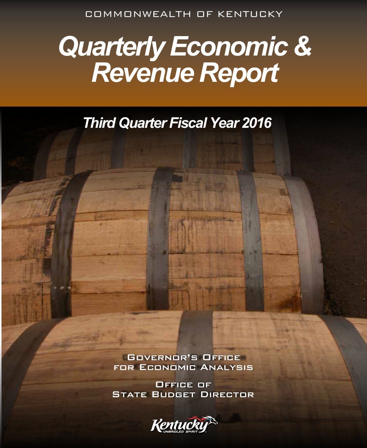COMMONWEALTH OF KENTUCKY

# *Quarterly Economic & Revenue Report*

*Third Quarter Fiscal Year 2016*

Governor's Office for Economic Analysis

Office of **STATE BUDGET DIRECTOR** 

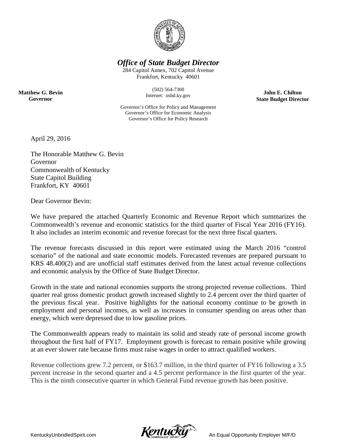

*Office of State Budget Director*

284 Capitol Annex, 702 Capitol Avenue Frankfort, Kentucky 40601

> (502) 564-7300 Internet: osbd.ky.gov

**John E. Chilton State Budget Director**

Governor's Office for Policy and Management Governor's Office for Economic Analysis Governor's Office for Policy Research

April 29, 2016

**Matthew G. Bevin Governor**

> The Honorable Matthew G. Bevin Governor Commonwealth of Kentucky State Capitol Building Frankfort, KY 40601

Dear Governor Bevin:

We have prepared the attached Quarterly Economic and Revenue Report which summarizes the Commonwealth's revenue and economic statistics for the third quarter of Fiscal Year 2016 (FY16). It also includes an interim economic and revenue forecast for the next three fiscal quarters.

The revenue forecasts discussed in this report were estimated using the March 2016 "control scenario" of the national and state economic models. Forecasted revenues are prepared pursuant to KRS 48.400(2) and are unofficial staff estimates derived from the latest actual revenue collections and economic analysis by the Office of State Budget Director.

Growth in the state and national economies supports the strong projected revenue collections. Third quarter real gross domestic product growth increased slightly to 2.4 percent over the third quarter of the previous fiscal year. Positive highlights for the national economy continue to be growth in employment and personal incomes, as well as increases in consumer spending on areas other than energy, which were depressed due to low gasoline prices.

The Commonwealth appears ready to maintain its solid and steady rate of personal income growth throughout the first half of FY17. Employment growth is forecast to remain positive while growing at an ever slower rate because firms must raise wages in order to attract qualified workers.

Revenue collections grew 7.2 percent, or \$163.7 million, in the third quarter of FY16 following a 3.5 percent increase in the second quarter and a 4.5 percent performance in the first quarter of the year. This is the ninth consecutive quarter in which General Fund revenue growth has been positive.

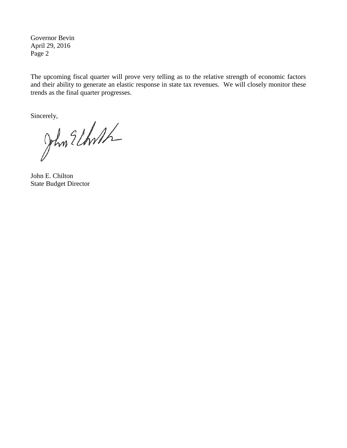Governor Bevin April 29, 2016 Page 2

The upcoming fiscal quarter will prove very telling as to the relative strength of economic factors and their ability to generate an elastic response in state tax revenues. We will closely monitor these trends as the final quarter progresses.

Sincerely,<br>John Elhrith

John E. Chilton State Budget Director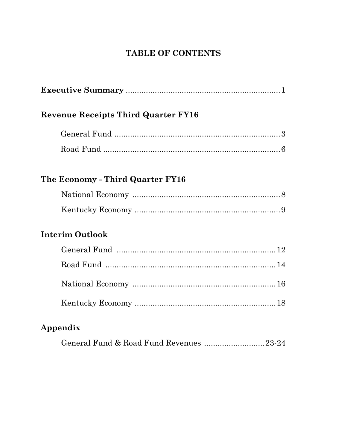### TABLE OF CONTENTS

| <b>Revenue Receipts Third Quarter FY16</b> |
|--------------------------------------------|
|                                            |
|                                            |
| The Economy - Third Quarter FY16           |
|                                            |
|                                            |
| <b>Interim Outlook</b>                     |
|                                            |
|                                            |
|                                            |
|                                            |
| Appendix                                   |
| General Fund & Road Fund Revenues 23-24    |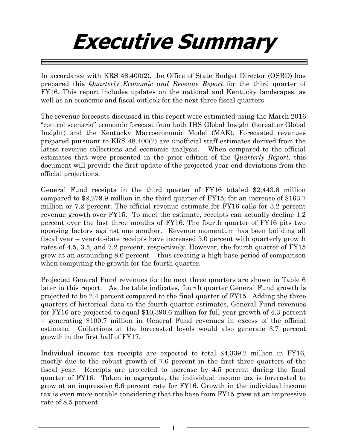## **Executive Summary**

In accordance with KRS 48.400(2), the Office of State Budget Director (OSBD) has prepared this *Quarterly Economic and Revenue Report* for the third quarter of FY16. This report includes updates on the national and Kentucky landscapes, as well as an economic and fiscal outlook for the next three fiscal quarters.

The revenue forecasts discussed in this report were estimated using the March 2016 "control scenario" economic forecast from both IHS Global Insight (hereafter Global Insight) and the Kentucky Macroeconomic Model (MAK). Forecasted revenues prepared pursuant to KRS 48.400(2) are unofficial staff estimates derived from the latest revenue collections and economic analysis. When compared to the official estimates that were presented in the prior edition of the *Quarterly Report*, this document will provide the first update of the projected year-end deviations from the official projections.

General Fund receipts in the third quarter of FY16 totaled \$2,443.6 million compared to \$2,279.9 million in the third quarter of FY15, for an increase of \$163.7 million or 7.2 percent. The official revenue estimate for FY16 calls for 3.2 percent revenue growth over FY15. To meet the estimate, receipts can actually decline 1.2 percent over the last three months of FY16. The fourth quarter of FY16 pits two opposing factors against one another. Revenue momentum has been building all fiscal year – year-to-date receipts have increased 5.0 percent with quarterly growth rates of 4.5, 3.5, and 7.2 percent, respectively. However, the fourth quarter of FY15 grew at an astounding 8.6 percent – thus creating a high base period of comparison when computing the growth for the fourth quarter.

Projected General Fund revenues for the next three quarters are shown in Table 6 later in this report. As the table indicates, fourth quarter General Fund growth is projected to be 2.4 percent compared to the final quarter of FY15. Adding the three quarters of historical data to the fourth quarter estimates, General Fund revenues for FY16 are projected to equal \$10,390.6 million for full-year growth of 4.3 percent – generating \$100.7 million in General Fund revenues in excess of the official estimate. Collections at the forecasted levels would also generate 3.7 percent growth in the first half of FY17.

Individual income tax receipts are expected to total \$4,339.2 million in FY16, mostly due to the robust growth of 7.6 percent in the first three quarters of the fiscal year. Receipts are projected to increase by 4.5 percent during the final quarter of FY16. Taken in aggregate, the individual income tax is forecasted to grow at an impressive 6.6 percent rate for FY16. Growth in the individual income tax is even more notable considering that the base from FY15 grew at an impressive rate of 8.5 percent.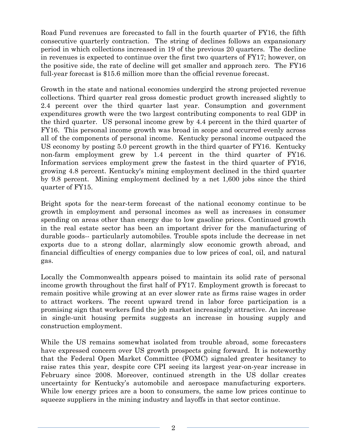Road Fund revenues are forecasted to fall in the fourth quarter of FY16, the fifth consecutive quarterly contraction. The string of declines follows an expansionary period in which collections increased in 19 of the previous 20 quarters. The decline in revenues is expected to continue over the first two quarters of FY17; however, on the positive side, the rate of decline will get smaller and approach zero. The FY16 full-year forecast is \$15.6 million more than the official revenue forecast.

Growth in the state and national economies undergird the strong projected revenue collections. Third quarter real gross domestic product growth increased slightly to 2.4 percent over the third quarter last year. Consumption and government expenditures growth were the two largest contributing components to real GDP in the third quarter. US personal income grew by 4.4 percent in the third quarter of FY16. This personal income growth was broad in scope and occurred evenly across all of the components of personal income. Kentucky personal income outpaced the US economy by posting 5.0 percent growth in the third quarter of FY16. Kentucky non-farm employment grew by 1.4 percent in the third quarter of FY16. Information services employment grew the fastest in the third quarter of FY16, growing 4.8 percent. Kentucky's mining employment declined in the third quarter by 9.8 percent. Mining employment declined by a net 1,600 jobs since the third quarter of FY15.

Bright spots for the near-term forecast of the national economy continue to be growth in employment and personal incomes as well as increases in consumer spending on areas other than energy due to low gasoline prices. Continued growth in the real estate sector has been an important driver for the manufacturing of durable goods-- particularly automobiles. Trouble spots include the decrease in net exports due to a strong dollar, alarmingly slow economic growth abroad, and financial difficulties of energy companies due to low prices of coal, oil, and natural gas.

Locally the Commonwealth appears poised to maintain its solid rate of personal income growth throughout the first half of FY17. Employment growth is forecast to remain positive while growing at an ever slower rate as firms raise wages in order to attract workers. The recent upward trend in labor force participation is a promising sign that workers find the job market increasingly attractive. An increase in single-unit housing permits suggests an increase in housing supply and construction employment.

While the US remains somewhat isolated from trouble abroad, some forecasters have expressed concern over US growth prospects going forward. It is noteworthy that the Federal Open Market Committee (FOMC) signaled greater hesitancy to raise rates this year, despite core CPI seeing its largest year-on-year increase in February since 2008. Moreover, continued strength in the US dollar creates uncertainty for Kentucky's automobile and aerospace manufacturing exporters. While low energy prices are a boon to consumers, the same low prices continue to squeeze suppliers in the mining industry and layoffs in that sector continue.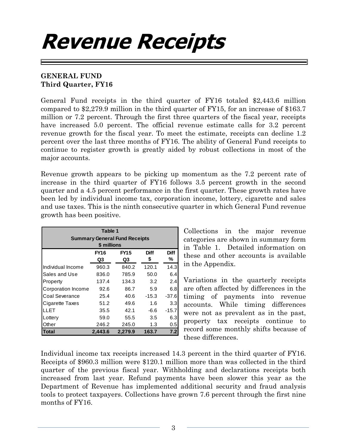## **Revenue Receipts**

### **GENERAL FUND Third Quarter, FY16**

General Fund receipts in the third quarter of FY16 totaled \$2,443.6 million compared to \$2,279.9 million in the third quarter of FY15, for an increase of \$163.7 million or 7.2 percent. Through the first three quarters of the fiscal year, receipts have increased 5.0 percent. The official revenue estimate calls for 3.2 percent revenue growth for the fiscal year. To meet the estimate, receipts can decline 1.2 percent over the last three months of FY16. The ability of General Fund receipts to continue to register growth is greatly aided by robust collections in most of the major accounts.

Revenue growth appears to be picking up momentum as the 7.2 percent rate of increase in the third quarter of FY16 follows 3.5 percent growth in the second quarter and a 4.5 percent performance in the first quarter. These growth rates have been led by individual income tax, corporation income, lottery, cigarette and sales and use taxes. This is the ninth consecutive quarter in which General Fund revenue growth has been positive.

| Table 1<br><b>Summary General Fund Receipts</b><br>\$ millions |         |         |         |         |  |  |  |  |
|----------------------------------------------------------------|---------|---------|---------|---------|--|--|--|--|
| <b>Diff</b><br>FY16<br><b>FY15</b><br><b>Diff</b>              |         |         |         |         |  |  |  |  |
|                                                                | Q3      | Q3      | \$      | %       |  |  |  |  |
| Individual Income                                              | 960.3   | 840.2   | 120.1   | 14.3    |  |  |  |  |
| Sales and Use                                                  | 836.0   | 785.9   | 50.0    | 6.4     |  |  |  |  |
| Property                                                       | 137.4   | 134.3   | 3.2     | 2.4     |  |  |  |  |
| Corporation Income                                             | 92.6    | 86.7    | 5.9     | 6.8     |  |  |  |  |
| Coal Severance                                                 | 25.4    | 40.6    | $-15.3$ | $-37.6$ |  |  |  |  |
| Cigarette Taxes                                                | 51.2    | 49.6    | 1.6     | 3.3     |  |  |  |  |
| LLET                                                           | 35.5    | 42.1    | $-6.6$  | $-15.7$ |  |  |  |  |
| Lottery                                                        | 59.0    | 55.5    | 3.5     | 6.3     |  |  |  |  |
| Other                                                          | 246.2   | 245.0   | 1.3     | 0.5     |  |  |  |  |
| Total                                                          | 2,443.6 | 2,279.9 | 163.7   | 7.2     |  |  |  |  |

Collections in the major revenue categories are shown in summary form in Table 1. Detailed information on these and other accounts is available in the Appendix.

Variations in the quarterly receipts are often affected by differences in the timing of payments into revenue accounts. While timing differences were not as prevalent as in the past, property tax receipts continue to record some monthly shifts because of these differences.

Individual income tax receipts increased 14.3 percent in the third quarter of FY16. Receipts of \$960.3 million were \$120.1 million more than was collected in the third quarter of the previous fiscal year. Withholding and declarations receipts both increased from last year. Refund payments have been slower this year as the Department of Revenue has implemented additional security and fraud analysis tools to protect taxpayers. Collections have grown 7.6 percent through the first nine months of FY16.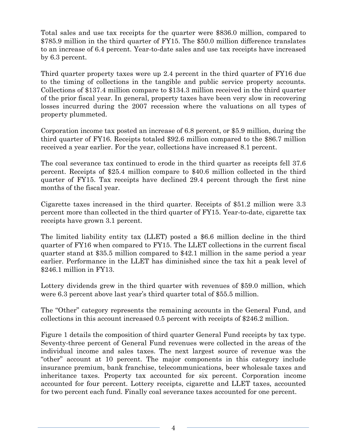Total sales and use tax receipts for the quarter were \$836.0 million, compared to \$785.9 million in the third quarter of FY15. The \$50.0 million difference translates to an increase of 6.4 percent. Year-to-date sales and use tax receipts have increased by 6.3 percent.

Third quarter property taxes were up 2.4 percent in the third quarter of FY16 due to the timing of collections in the tangible and public service property accounts. Collections of \$137.4 million compare to \$134.3 million received in the third quarter of the prior fiscal year. In general, property taxes have been very slow in recovering losses incurred during the 2007 recession where the valuations on all types of property plummeted.

Corporation income tax posted an increase of 6.8 percent, or \$5.9 million, during the third quarter of FY16. Receipts totaled \$92.6 million compared to the \$86.7 million received a year earlier. For the year, collections have increased 8.1 percent.

The coal severance tax continued to erode in the third quarter as receipts fell 37.6 percent. Receipts of \$25.4 million compare to \$40.6 million collected in the third quarter of FY15. Tax receipts have declined 29.4 percent through the first nine months of the fiscal year.

Cigarette taxes increased in the third quarter. Receipts of \$51.2 million were 3.3 percent more than collected in the third quarter of FY15. Year-to-date, cigarette tax receipts have grown 3.1 percent.

The limited liability entity tax (LLET) posted a \$6.6 million decline in the third quarter of FY16 when compared to FY15. The LLET collections in the current fiscal quarter stand at \$35.5 million compared to \$42.1 million in the same period a year earlier. Performance in the LLET has diminished since the tax hit a peak level of \$246.1 million in FY13.

Lottery dividends grew in the third quarter with revenues of \$59.0 million, which were 6.3 percent above last year's third quarter total of \$55.5 million.

The "Other" category represents the remaining accounts in the General Fund, and collections in this account increased 0.5 percent with receipts of \$246.2 million.

Figure 1 details the composition of third quarter General Fund receipts by tax type. Seventy-three percent of General Fund revenues were collected in the areas of the individual income and sales taxes. The next largest source of revenue was the "other" account at 10 percent. The major components in this category include insurance premium, bank franchise, telecommunications, beer wholesale taxes and inheritance taxes. Property tax accounted for six percent. Corporation income accounted for four percent. Lottery receipts, cigarette and LLET taxes, accounted for two percent each fund. Finally coal severance taxes accounted for one percent.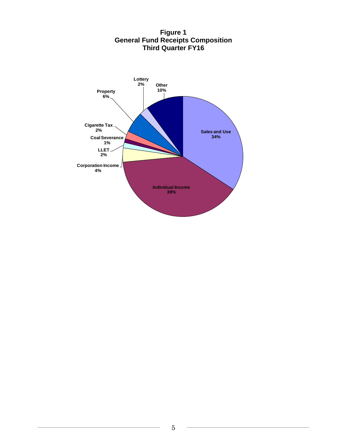

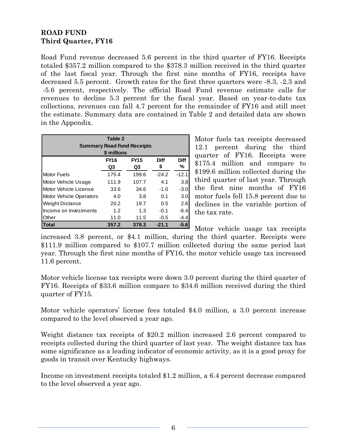### **ROAD FUND Third Quarter, FY16**

Road Fund revenue decreased 5.6 percent in the third quarter of FY16. Receipts totaled \$357.2 million compared to the \$378.3 million received in the third quarter of the last fiscal year. Through the first nine months of FY16, receipts have decreased 5.5 percent. Growth rates for the first three quarters were -8.3, -2.3 and -5.6 percent, respectively. The official Road Fund revenue estimate calls for revenues to decline 5.3 percent for the fiscal year. Based on year-to-date tax collections, revenues can fall 4.7 percent for the remainder of FY16 and still meet the estimate. Summary data are contained in Table 2 and detailed data are shown in the Appendix.

| Table 2                           |             |             |             |             |  |  |  |  |
|-----------------------------------|-------------|-------------|-------------|-------------|--|--|--|--|
| <b>Summary Road Fund Receipts</b> |             |             |             |             |  |  |  |  |
| \$ millions                       |             |             |             |             |  |  |  |  |
|                                   | <b>FY16</b> | <b>FY15</b> | <b>Diff</b> | <b>Diff</b> |  |  |  |  |
|                                   | Q3          | Q3          | \$          | ℅           |  |  |  |  |
| <b>Motor Fuels</b>                | 175.4       | 199.6       | $-24.2$     | $-12.1$     |  |  |  |  |
| Motor Vehicle Usage               | 111.9       | 107.7       | 4.1         | 3.8         |  |  |  |  |
| Motor Vehicle License             | 33.6        | 34.6        | $-1.0$      | $-3.0$      |  |  |  |  |
| <b>Motor Vehicle Operators</b>    | 4.0         | 3.8         | 0.1         | 3.0         |  |  |  |  |
| <b>Weight Distance</b>            | 20.2        | 19.7        | 0.5         | 2.6         |  |  |  |  |
| Income on Investments             | 1.2         | 1.3         | $-0.1$      | $-6.4$      |  |  |  |  |
| Other                             | 11.0        | 11.5        | $-0.5$      | $-4.4$      |  |  |  |  |
| Total                             | 357.2       | 378.3       | $-21.1$     | $-5.6$      |  |  |  |  |

Motor fuels tax receipts decreased 12.1 percent during the third quarter of FY16. Receipts were \$175.4 million and compare to \$199.6 million collected during the third quarter of last year. Through the first nine months of FY16 motor fuels fell 15.8 percent due to declines in the variable portion of the tax rate.

Motor vehicle usage tax receipts increased 3.8 percent, or \$4.1 million, during the third quarter. Receipts were \$111.9 million compared to \$107.7 million collected during the same period last year. Through the first nine months of FY16, the motor vehicle usage tax increased 11.6 percent.

Motor vehicle license tax receipts were down 3.0 percent during the third quarter of FY16. Receipts of \$33.6 million compare to \$34.6 million received during the third quarter of FY15.

Motor vehicle operators' license fees totaled \$4.0 million, a 3.0 percent increase compared to the level observed a year ago.

Weight distance tax receipts of \$20.2 million increased 2.6 percent compared to receipts collected during the third quarter of last year. The weight distance tax has some significance as a leading indicator of economic activity, as it is a good proxy for goods in transit over Kentucky highways.

Income on investment receipts totaled \$1.2 million, a 6.4 percent decrease compared to the level observed a year ago.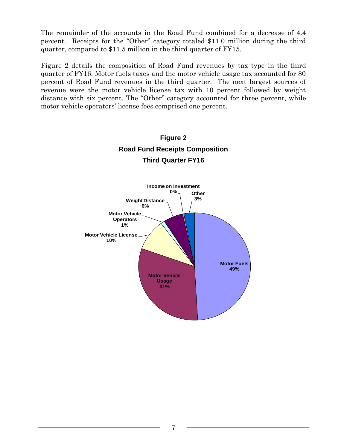The remainder of the accounts in the Road Fund combined for a decrease of 4.4 percent. Receipts for the "Other" category totaled \$11.0 million during the third quarter, compared to \$11.5 million in the third quarter of FY15.

Figure 2 details the composition of Road Fund revenues by tax type in the third quarter of FY16. Motor fuels taxes and the motor vehicle usage tax accounted for 80 percent of Road Fund revenues in the third quarter. The next largest sources of revenue were the motor vehicle license tax with 10 percent followed by weight distance with six percent. The "Other" category accounted for three percent, while motor vehicle operators' license fees comprised one percent.

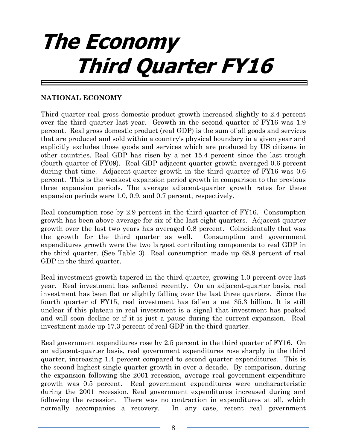# **The Economy Third Quarter FY16**

### **NATIONAL ECONOMY**

Third quarter real gross domestic product growth increased slightly to 2.4 percent over the third quarter last year. Growth in the second quarter of FY16 was 1.9 percent. Real gross domestic product (real GDP) is the sum of all goods and services that are produced and sold within a country's physical boundary in a given year and explicitly excludes those goods and services which are produced by US citizens in other countries. Real GDP has risen by a net 15.4 percent since the last trough (fourth quarter of FY09). Real GDP adjacent-quarter growth averaged 0.6 percent during that time. Adjacent-quarter growth in the third quarter of FY16 was 0.6 percent. This is the weakest expansion period growth in comparison to the previous three expansion periods. The average adjacent-quarter growth rates for these expansion periods were 1.0, 0.9, and 0.7 percent, respectively.

Real consumption rose by 2.9 percent in the third quarter of FY16. Consumption growth has been above average for six of the last eight quarters. Adjacent-quarter growth over the last two years has averaged 0.8 percent. Coincidentally that was the growth for the third quarter as well. Consumption and government expenditures growth were the two largest contributing components to real GDP in the third quarter. (See Table 3) Real consumption made up 68.9 percent of real GDP in the third quarter.

Real investment growth tapered in the third quarter, growing 1.0 percent over last year. Real investment has softened recently. On an adjacent-quarter basis, real investment has been flat or slightly falling over the last three quarters. Since the fourth quarter of FY15, real investment has fallen a net \$5.3 billion. It is still unclear if this plateau in real investment is a signal that investment has peaked and will soon decline or if it is just a pause during the current expansion. Real investment made up 17.3 percent of real GDP in the third quarter.

Real government expenditures rose by 2.5 percent in the third quarter of FY16. On an adjacent-quarter basis, real government expenditures rose sharply in the third quarter, increasing 1.4 percent compared to second quarter expenditures. This is the second highest single-quarter growth in over a decade. By comparison, during the expansion following the 2001 recession, average real government expenditure growth was 0.5 percent. Real government expenditures were uncharacteristic during the 2001 recession. Real government expenditures increased during and following the recession. There was no contraction in expenditures at all, which normally accompanies a recovery. In any case, recent real government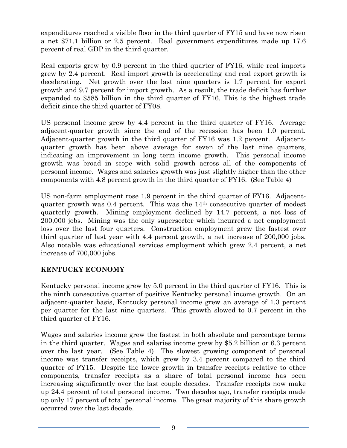expenditures reached a visible floor in the third quarter of FY15 and have now risen a net \$71.1 billion or 2.5 percent. Real government expenditures made up 17.6 percent of real GDP in the third quarter.

Real exports grew by 0.9 percent in the third quarter of FY16, while real imports grew by 2.4 percent. Real import growth is accelerating and real export growth is decelerating. Net growth over the last nine quarters is 1.7 percent for export growth and 9.7 percent for import growth. As a result, the trade deficit has further expanded to \$585 billion in the third quarter of FY16. This is the highest trade deficit since the third quarter of FY08.

US personal income grew by 4.4 percent in the third quarter of FY16. Average adjacent-quarter growth since the end of the recession has been 1.0 percent. Adjacent-quarter growth in the third quarter of FY16 was 1.2 percent. Adjacentquarter growth has been above average for seven of the last nine quarters, indicating an improvement in long term income growth. This personal income growth was broad in scope with solid growth across all of the components of personal income. Wages and salaries growth was just slightly higher than the other components with 4.8 percent growth in the third quarter of FY16. (See Table 4)

US non-farm employment rose 1.9 percent in the third quarter of FY16. Adjacentquarter growth was 0.4 percent. This was the 14th consecutive quarter of modest quarterly growth. Mining employment declined by 14.7 percent, a net loss of 200,000 jobs. Mining was the only supersector which incurred a net employment loss over the last four quarters. Construction employment grew the fastest over third quarter of last year with 4.4 percent growth, a net increase of 200,000 jobs. Also notable was educational services employment which grew 2.4 percent, a net increase of 700,000 jobs.

### **KENTUCKY ECONOMY**

Kentucky personal income grew by 5.0 percent in the third quarter of FY16. This is the ninth consecutive quarter of positive Kentucky personal income growth. On an adjacent-quarter basis, Kentucky personal income grew an average of 1.3 percent per quarter for the last nine quarters. This growth slowed to 0.7 percent in the third quarter of FY16.

Wages and salaries income grew the fastest in both absolute and percentage terms in the third quarter. Wages and salaries income grew by \$5.2 billion or 6.3 percent over the last year. (See Table 4) The slowest growing component of personal income was transfer receipts, which grew by 3.4 percent compared to the third quarter of FY15. Despite the lower growth in transfer receipts relative to other components, transfer receipts as a share of total personal income has been increasing significantly over the last couple decades. Transfer receipts now make up 24.4 percent of total personal income. Two decades ago, transfer receipts made up only 17 percent of total personal income. The great majority of this share growth occurred over the last decade.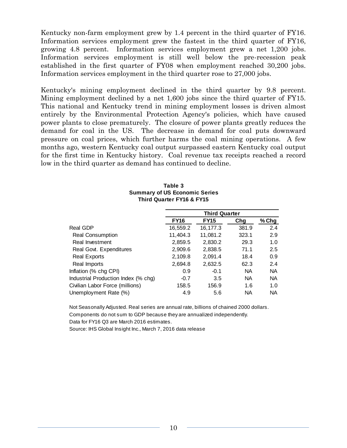Kentucky non-farm employment grew by 1.4 percent in the third quarter of FY16. Information services employment grew the fastest in the third quarter of FY16, growing 4.8 percent. Information services employment grew a net 1,200 jobs. Information services employment is still well below the pre-recession peak established in the first quarter of FY08 when employment reached 30,200 jobs. Information services employment in the third quarter rose to 27,000 jobs.

Kentucky's mining employment declined in the third quarter by 9.8 percent. Mining employment declined by a net 1,600 jobs since the third quarter of FY15. This national and Kentucky trend in mining employment losses is driven almost entirely by the Environmental Protection Agency's policies, which have caused power plants to close prematurely. The closure of power plants greatly reduces the demand for coal in the US. The decrease in demand for coal puts downward pressure on coal prices, which further harms the coal mining operations. A few months ago, western Kentucky coal output surpassed eastern Kentucky coal output for the first time in Kentucky history. Coal revenue tax receipts reached a record low in the third quarter as demand has continued to decline.

|                                     | <b>Third Quarter</b> |             |       |           |  |  |
|-------------------------------------|----------------------|-------------|-------|-----------|--|--|
|                                     | <b>FY16</b>          | <b>FY15</b> | Chg   | % Chg     |  |  |
| Real GDP                            | 16,559.2             | 16,177.3    | 381.9 | 2.4       |  |  |
| Real Consumption                    | 11,404.3             | 11,081.2    | 323.1 | 2.9       |  |  |
| Real Investment                     | 2,859.5              | 2,830.2     | 29.3  | 1.0       |  |  |
| Real Govt. Expenditures             | 2,909.6              | 2,838.5     | 71.1  | 2.5       |  |  |
| <b>Real Exports</b>                 | 2,109.8              | 2,091.4     | 18.4  | 0.9       |  |  |
| Real Imports                        | 2,694.8              | 2,632.5     | 62.3  | 2.4       |  |  |
| Inflation (% chg CPI)               | 0.9                  | $-0.1$      | NA    | <b>NA</b> |  |  |
| Industrial Production Index (% chg) | $-0.7$               | 3.5         | NA    | <b>NA</b> |  |  |
| Civilian Labor Force (millions)     | 158.5                | 156.9       | 1.6   | 1.0       |  |  |
| Unemployment Rate (%)               | 4.9                  | 5.6         | NA    | <b>NA</b> |  |  |

| Table 3                              |  |  |  |  |  |
|--------------------------------------|--|--|--|--|--|
| <b>Summary of US Economic Series</b> |  |  |  |  |  |
| <b>Third Quarter FY16 &amp; FY15</b> |  |  |  |  |  |

Not Seasonally Adjusted. Real series are annual rate, billions of chained 2000 dollars. Components do not sum to GDP because they are annualized independently. Data for FY16 Q3 are March 2016 estimates.

Source: IHS Global Insight Inc., March 7, 2016 data release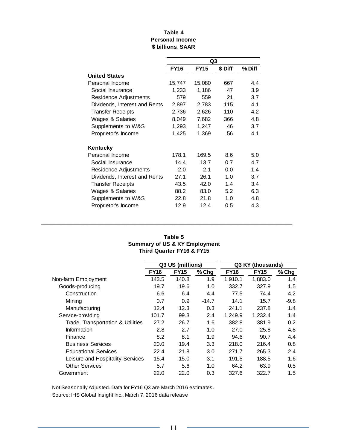#### **\$ billions, SAAR Table 4 Personal Income**

|                               |             | Q3          |         |        |
|-------------------------------|-------------|-------------|---------|--------|
|                               | <b>FY16</b> | <b>FY15</b> | \$ Diff | % Diff |
| <b>United States</b>          |             |             |         |        |
| Personal Income               | 15,747      | 15,080      | 667     | 4.4    |
| Social Insurance              | 1,233       | 1,186       | 47      | 3.9    |
| Residence Adjustments         | 579         | 559         | 21      | 3.7    |
| Dividends, Interest and Rents | 2,897       | 2,783       | 115     | 4.1    |
| <b>Transfer Receipts</b>      | 2,736       | 2,626       | 110     | 4.2    |
| Wages & Salaries              | 8,049       | 7,682       | 366     | 4.8    |
| Supplements to W&S            | 1,293       | 1,247       | 46      | 3.7    |
| Proprietor's Income           | 1,425       | 1,369       | 56      | 4.1    |
| Kentucky                      |             |             |         |        |
| Personal Income               | 178.1       | 169.5       | 8.6     | 5.0    |
| Social Insurance              | 14.4        | 13.7        | 0.7     | 4.7    |
| Residence Adjustments         | $-2.0$      | $-2.1$      | 0.0     | $-1.4$ |
| Dividends, Interest and Rents | 27.1        | 26.1        | 1.0     | 3.7    |
| <b>Transfer Receipts</b>      | 43.5        | 42.0        | 1.4     | 3.4    |
| Wages & Salaries              | 88.2        | 83.0        | 5.2     | 6.3    |
| Supplements to W&S            | 22.8        | 21.8        | 1.0     | 4.8    |
| Proprietor's Income           | 12.9        | 12.4        | 0.5     | 4.3    |

#### **Table 5 Summary of US & KY Employment Third Quarter FY16 & FY15**

**\_\_\_\_\_\_\_\_\_\_\_\_\_\_\_\_\_\_\_\_\_\_\_\_\_\_\_\_\_\_\_\_\_\_\_\_\_\_\_\_\_\_\_\_\_\_\_\_\_\_\_\_\_\_\_\_\_\_\_\_\_\_\_\_\_\_\_\_\_\_\_\_\_\_**

|                                   |             | Q3 US (millions) |       | Q3 KY (thousands) |             |       |
|-----------------------------------|-------------|------------------|-------|-------------------|-------------|-------|
|                                   | <b>FY16</b> | <b>FY15</b>      | % Chg | <b>FY16</b>       | <b>FY15</b> | % Chg |
| Non-farm Employment               | 143.5       | 140.8            | 1.9   | 1,910.1           | 1,883.0     | 1.4   |
| Goods-producing                   | 19.7        | 19.6             | 1.0   | 332.7             | 327.9       | 1.5   |
| Construction                      | 6.6         | 6.4              | 4.4   | 77.5              | 74.4        | 4.2   |
| Mining                            | 0.7         | 0.9              | -14.7 | 14.1              | 15.7        | -9.8  |
| Manufacturing                     | 12.4        | 12.3             | 0.3   | 241.1             | 237.8       | 1.4   |
| Service-providing                 | 101.7       | 99.3             | 2.4   | 1.249.9           | 1,232.4     | 1.4   |
| Trade, Transportation & Utilities | 27.2        | 26.7             | 1.6   | 382.8             | 381.9       | 0.2   |
| Information                       | 2.8         | 2.7              | 1.0   | 27.0              | 25.8        | 4.8   |
| Finance                           | 8.2         | 8.1              | 1.9   | 94.6              | 90.7        | 4.4   |
| <b>Business Services</b>          | 20.0        | 19.4             | 3.3   | 218.0             | 216.4       | 0.8   |
| <b>Educational Services</b>       | 22.4        | 21.8             | 3.0   | 271.7             | 265.3       | 2.4   |
| Leisure and Hospitality Services  | 15.4        | 15.0             | 3.1   | 191.5             | 188.5       | 1.6   |
| <b>Other Services</b>             | 5.7         | 5.6              | 1.0   | 64.2              | 63.9        | 0.5   |
| Government                        | 22.0        | 22.0             | 0.3   | 327.6             | 322.7       | 1.5   |

Not Seasonally Adjusted. Data for FY16 Q3 are March 2016 estimates.

Source: IHS Global Insight Inc., March 7, 2016 data release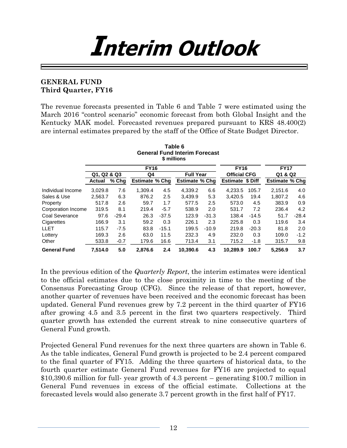# **Interim Outlook**

### **GENERAL FUND Third Quarter, FY16**

The revenue forecasts presented in Table 6 and Table 7 were estimated using the March 2016 "control scenario" economic forecast from both Global Insight and the Kentucky MAK model. Forecasted revenues prepared pursuant to KRS 48.400(2) are internal estimates prepared by the staff of the Office of State Budget Director.

|                     |                   |             |                       |                  | <b>General Fund Interim Forecast</b><br>\$ millions |                     |                         |         |                       |         |
|---------------------|-------------------|-------------|-----------------------|------------------|-----------------------------------------------------|---------------------|-------------------------|---------|-----------------------|---------|
|                     |                   | <b>FY16</b> | <b>FY16</b>           |                  | <b>FY17</b>                                         |                     |                         |         |                       |         |
|                     | Q1, Q2 & Q3<br>Q4 |             |                       | <b>Full Year</b> |                                                     | <b>Official CFG</b> |                         | Q1 & Q2 |                       |         |
|                     | <b>Actual</b>     | $%$ Chq     | <b>Estimate % Chg</b> |                  | <b>Estimate % Chg</b>                               |                     | <b>Estimate \$ Diff</b> |         | <b>Estimate % Chg</b> |         |
| Individual Income   | 3,029.8           | 7.6         | 1.309.4               | 4.5              | 4.339.2                                             | 6.6                 | 4.233.5                 | 105.7   | 2,151.6               | 4.0     |
| Sales & Use         | 2.563.7           | 6.3         | 876.2                 | 2.5              | 3.439.9                                             | 5.3                 | 3.420.5                 | 19.4    | 1.807.2               | 4.6     |
| Property            | 517.8             | 2.6         | 59.7                  | 1.7              | 577.5                                               | 2.5                 | 573.0                   | 4.5     | 383.9                 | 0.9     |
| Corporation Income  | 319.5             | 8.1         | 219.4                 | $-5.7$           | 538.9                                               | 2.0                 | 531.7                   | 7.2     | 236.4                 | 4.2     |
| Coal Severance      | 97.6              | $-29.4$     | 26.3                  | $-37.5$          | 123.9                                               | $-31.3$             | 138.4                   | $-14.5$ | 51.7                  | $-28.4$ |
| Cigarettes          | 166.9             | 3.1         | 59.2                  | 0.3              | 226.1                                               | 2.3                 | 225.8                   | 0.3     | 119.6                 | 3.4     |
| LLET                | 115.7             | $-7.5$      | 83.8                  | $-15.1$          | 199.5                                               | $-10.9$             | 219.8                   | $-20.3$ | 81.8                  | 2.0     |
| Lottery             | 169.3             | 2.6         | 63.0                  | 11.5             | 232.3                                               | 4.9                 | 232.0                   | 0.3     | 109.0                 | $-1.2$  |
| Other               | 533.8             | $-0.7$      | 179.6                 | 16.6             | 713.4                                               | 3.1                 | 715.2                   | $-1.8$  | 315.7                 | 9.8     |
| <b>General Fund</b> | 7,514.0           | 5.0         | 2.876.6               | 2.4              | 10,390.6                                            | 4.3                 | 10.289.9                | 100.7   | 5.256.9               | 3.7     |

**Table 6**

In the previous edition of the *Quarterly Report*, the interim estimates were identical to the official estimates due to the close proximity in time to the meeting of the Consensus Forecasting Group (CFG). Since the release of that report, however, another quarter of revenues have been received and the economic forecast has been updated. General Fund revenues grew by 7.2 percent in the third quarter of FY16 after growing 4.5 and 3.5 percent in the first two quarters respectively. Third quarter growth has extended the current streak to nine consecutive quarters of General Fund growth.

Projected General Fund revenues for the next three quarters are shown in Table 6. As the table indicates, General Fund growth is projected to be 2.4 percent compared to the final quarter of FY15. Adding the three quarters of historical data, to the fourth quarter estimate General Fund revenues for FY16 are projected to equal \$10,390.6 million for full- year growth of 4.3 percent – generating \$100.7 million in General Fund revenues in excess of the official estimate. Collections at the forecasted levels would also generate 3.7 percent growth in the first half of FY17.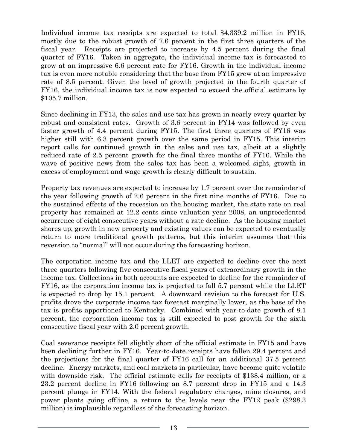Individual income tax receipts are expected to total \$4,339.2 million in FY16, mostly due to the robust growth of 7.6 percent in the first three quarters of the fiscal year. Receipts are projected to increase by 4.5 percent during the final quarter of FY16. Taken in aggregate, the individual income tax is forecasted to grow at an impressive 6.6 percent rate for FY16. Growth in the individual income tax is even more notable considering that the base from FY15 grew at an impressive rate of 8.5 percent. Given the level of growth projected in the fourth quarter of FY16, the individual income tax is now expected to exceed the official estimate by \$105.7 million.

Since declining in FY13, the sales and use tax has grown in nearly every quarter by robust and consistent rates. Growth of 3.6 percent in FY14 was followed by even faster growth of 4.4 percent during FY15. The first three quarters of FY16 was higher still with 6.3 percent growth over the same period in FY15. This interim report calls for continued growth in the sales and use tax, albeit at a slightly reduced rate of 2.5 percent growth for the final three months of FY16. While the wave of positive news from the sales tax has been a welcomed sight, growth in excess of employment and wage growth is clearly difficult to sustain.

Property tax revenues are expected to increase by 1.7 percent over the remainder of the year following growth of 2.6 percent in the first nine months of FY16. Due to the sustained effects of the recession on the housing market, the state rate on real property has remained at 12.2 cents since valuation year 2008, an unprecedented occurrence of eight consecutive years without a rate decline. As the housing market shores up, growth in new property and existing values can be expected to eventually return to more traditional growth patterns, but this interim assumes that this reversion to "normal" will not occur during the forecasting horizon.

The corporation income tax and the LLET are expected to decline over the next three quarters following five consecutive fiscal years of extraordinary growth in the income tax. Collections in both accounts are expected to decline for the remainder of FY16, as the corporation income tax is projected to fall 5.7 percent while the LLET is expected to drop by 15.1 percent. A downward revision to the forecast for U.S. profits drove the corporate income tax forecast marginally lower, as the base of the tax is profits apportioned to Kentucky. Combined with year-to-date growth of 8.1 percent, the corporation income tax is still expected to post growth for the sixth consecutive fiscal year with 2.0 percent growth.

Coal severance receipts fell slightly short of the official estimate in FY15 and have been declining further in FY16. Year-to-date receipts have fallen 29.4 percent and the projections for the final quarter of FY16 call for an additional 37.5 percent decline. Energy markets, and coal markets in particular, have become quite volatile with downside risk. The official estimate calls for receipts of \$138.4 million, or a 23.2 percent decline in FY16 following an 8.7 percent drop in FY15 and a 14.3 percent plunge in FY14. With the federal regulatory changes, mine closures, and power plants going offline, a return to the levels near the FY12 peak (\$298.3 million) is implausible regardless of the forecasting horizon.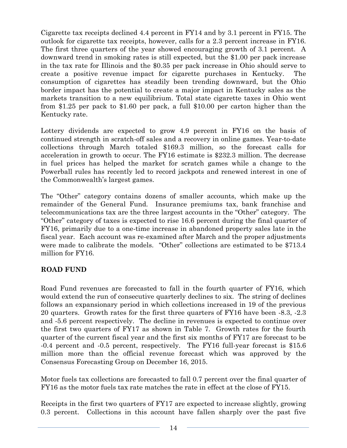Cigarette tax receipts declined 4.4 percent in FY14 and by 3.1 percent in FY15. The outlook for cigarette tax receipts, however, calls for a 2.3 percent increase in FY16. The first three quarters of the year showed encouraging growth of 3.1 percent. A downward trend in smoking rates is still expected, but the \$1.00 per pack increase in the tax rate for Illinois and the \$0.35 per pack increase in Ohio should serve to create a positive revenue impact for cigarette purchases in Kentucky. The consumption of cigarettes has steadily been trending downward, but the Ohio border impact has the potential to create a major impact in Kentucky sales as the markets transition to a new equilibrium. Total state cigarette taxes in Ohio went from \$1.25 per pack to \$1.60 per pack, a full \$10.00 per carton higher than the Kentucky rate.

Lottery dividends are expected to grow 4.9 percent in FY16 on the basis of continued strength in scratch-off sales and a recovery in online games. Year-to-date collections through March totaled \$169.3 million, so the forecast calls for acceleration in growth to occur. The FY16 estimate is \$232.3 million. The decrease in fuel prices has helped the market for scratch games while a change to the Powerball rules has recently led to record jackpots and renewed interest in one of the Commonwealth's largest games.

The "Other" category contains dozens of smaller accounts, which make up the remainder of the General Fund. Insurance premiums tax, bank franchise and telecommunications tax are the three largest accounts in the "Other" category. The "Other" category of taxes is expected to rise 16.6 percent during the final quarter of FY16, primarily due to a one-time increase in abandoned property sales late in the fiscal year. Each account was re-examined after March and the proper adjustments were made to calibrate the models. "Other" collections are estimated to be \$713.4 million for FY16.

### **ROAD FUND**

Road Fund revenues are forecasted to fall in the fourth quarter of FY16, which would extend the run of consecutive quarterly declines to six. The string of declines follows an expansionary period in which collections increased in 19 of the previous 20 quarters. Growth rates for the first three quarters of FY16 have been -8.3, -2.3 and -5.6 percent respectively. The decline in revenues is expected to continue over the first two quarters of FY17 as shown in Table 7. Growth rates for the fourth quarter of the current fiscal year and the first six months of FY17 are forecast to be -0.4 percent and -0.5 percent, respectively. The FY16 full-year forecast is \$15.6 million more than the official revenue forecast which was approved by the Consensus Forecasting Group on December 16, 2015.

Motor fuels tax collections are forecasted to fall 0.7 percent over the final quarter of FY16 as the motor fuels tax rate matches the rate in effect at the close of FY15.

Receipts in the first two quarters of FY17 are expected to increase slightly, growing 0.3 percent. Collections in this account have fallen sharply over the past five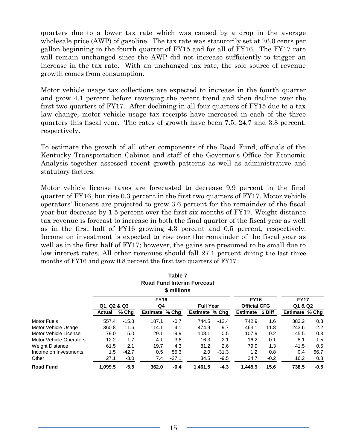quarters due to a lower tax rate which was caused by a drop in the average wholesale price (AWP) of gasoline. The tax rate was statutorily set at 26.0 cents per gallon beginning in the fourth quarter of FY15 and for all of FY16. The FY17 rate will remain unchanged since the AWP did not increase sufficiently to trigger an increase in the tax rate. With an unchanged tax rate, the sole source of revenue growth comes from consumption.

Motor vehicle usage tax collections are expected to increase in the fourth quarter and grow 4.1 percent before reversing the recent trend and then decline over the first two quarters of FY17. After declining in all four quarters of FY15 due to a tax law change, motor vehicle usage tax receipts have increased in each of the three quarters this fiscal year. The rates of growth have been 7.5, 24.7 and 3.8 percent, respectively.

To estimate the growth of all other components of the Road Fund, officials of the Kentucky Transportation Cabinet and staff of the Governor's Office for Economic Analysis together assessed recent growth patterns as well as administrative and statutory factors.

Motor vehicle license taxes are forecasted to decrease 9.9 percent in the final quarter of FY16, but rise 0.3 percent in the first two quarters of FY17. Motor vehicle operators' licenses are projected to grow 3.6 percent for the remainder of the fiscal year but decrease by 1.5 percent over the first six months of FY17. Weight distance tax revenue is forecast to increase in both the final quarter of the fiscal year as well as in the first half of FY16 growing 4.3 percent and 0.5 percent, respectively. Income on investment is expected to rise over the remainder of the fiscal year as well as in the first half of FY17; however, the gains are presumed to be small due to low interest rates. All other revenues should fall 27.1 percent during the last three months of FY16 and grow 0.8 percent the first two quarters of FY17.

|                                |             |         |                | Table 7<br>\$ millions | <b>Road Fund Interim Forecast</b> |         |                     |         |                |        |
|--------------------------------|-------------|---------|----------------|------------------------|-----------------------------------|---------|---------------------|---------|----------------|--------|
|                                |             |         | <b>FY16</b>    |                        |                                   |         | <b>FY16</b>         |         | <b>FY17</b>    |        |
|                                | Q1, Q2 & Q3 |         | Q4             |                        | <b>Full Year</b>                  |         | <b>Official CFG</b> |         | Q1 & Q2        |        |
|                                | Actual      | $%$ Chg | Estimate % Chq |                        | Estimate % Chq                    |         | <b>Estimate</b>     | \$ Diff | Estimate % Chg |        |
| Motor Fuels                    | 557.4       | $-15.8$ | 187.1          | $-0.7$                 | 744.5                             | $-12.4$ | 742.9               | 1.6     | 383.2          | 0.3    |
| Motor Vehicle Usage            | 360.8       | 11.6    | 114.1          | 4.1                    | 474.9                             | 9.7     | 463.1               | 11.8    | 243.6          | $-2.2$ |
| Motor Vehicle License          | 79.0        | 5.0     | 29.1           | -9.9                   | 108.1                             | 0.5     | 107.9               | 0.2     | 45.5           | 0.3    |
| <b>Motor Vehicle Operators</b> | 12.2        | 1.7     | 4.1            | 3.6                    | 16.3                              | 2.1     | 16.2                | 0.1     | 8.1            | $-1.5$ |
| <b>Weight Distance</b>         | 61.5        | 2.1     | 19.7           | 4.3                    | 81.2                              | 2.6     | 79.9                | 1.3     | 41.5           | 0.5    |
| Income on Investments          | 1.5         | $-42.7$ | 0.5            | 55.3                   | 2.0                               | $-31.3$ | 1.2                 | 0.8     | 0.4            | 66.7   |
| Other                          | 27.1        | $-3.0$  | 7.4            | $-27.1$                | 34.5                              | $-9.5$  | 34.7                | $-0.2$  | 16.2           | 0.8    |
| <b>Road Fund</b>               | 1.099.5     | $-5.5$  | 362.0          | $-0.4$                 | 1.461.5                           | $-4.3$  | 1.445.9             | 15.6    | 738.5          | $-0.5$ |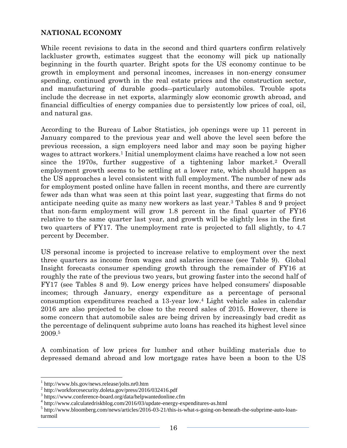#### **NATIONAL ECONOMY**

While recent revisions to data in the second and third quarters confirm relatively lackluster growth, estimates suggest that the economy will pick up nationally beginning in the fourth quarter. Bright spots for the US economy continue to be growth in employment and personal incomes, increases in non-energy consumer spending, continued growth in the real estate prices and the construction sector, and manufacturing of durable goods--particularly automobiles. Trouble spots include the decrease in net exports, alarmingly slow economic growth abroad, and financial difficulties of energy companies due to persistently low prices of coal, oil, and natural gas.

According to the Bureau of Labor Statistics, job openings were up 11 percent in January compared to the previous year and well above the level seen before the previous recession, a sign employers need labor and may soon be paying higher wages to attract workers.<sup>1</sup> Initial unemployment claims have reached a low not seen since the 1970s, further suggestive of a tightening labor market.<sup>2</sup> Overall employment growth seems to be settling at a lower rate, which should happen as the US approaches a level consistent with full employment. The number of new ads for employment posted online have fallen in recent months, and there are currently fewer ads than what was seen at this point last year, suggesting that firms do not anticipate needing quite as many new workers as last year.<sup>3</sup> Tables 8 and 9 project that non-farm employment will grow 1.8 percent in the final quarter of FY16 relative to the same quarter last year, and growth will be slightly less in the first two quarters of FY17. The unemployment rate is projected to fall slightly, to 4.7 percent by December.

US personal income is projected to increase relative to employment over the next three quarters as income from wages and salaries increase (see Table 9). Global Insight forecasts consumer spending growth through the remainder of FY16 at roughly the rate of the previous two years, but growing faster into the second half of FY17 (see Tables 8 and 9). Low energy prices have helped consumers' disposable incomes; through January, energy expenditure as a percentage of personal consumption expenditures reached a 13-year low.<sup>4</sup> Light vehicle sales in calendar 2016 are also projected to be close to the record sales of 2015. However, there is some concern that automobile sales are being driven by increasingly bad credit as the percentage of delinquent subprime auto loans has reached its highest level since 2009.<sup>5</sup>

A combination of low prices for lumber and other building materials due to depressed demand abroad and low mortgage rates have been a boon to the US

 $\overline{\phantom{a}}$ 

<sup>1</sup> http://www.bls.gov/news.release/jolts.nr0.htm

<sup>&</sup>lt;sup>2</sup> http://workforcesecurity.doleta.gov/press/2016/032416.pdf

<sup>3</sup> https://www.conference-board.org/data/helpwantedonline.cfm

<sup>4</sup> http://www.calculatedriskblog.com/2016/03/update-energy-expenditures-as.html

<sup>&</sup>lt;sup>5</sup> http://www.bloomberg.com/news/articles/2016-03-21/this-is-what-s-going-on-beneath-the-subprime-auto-loanturmoil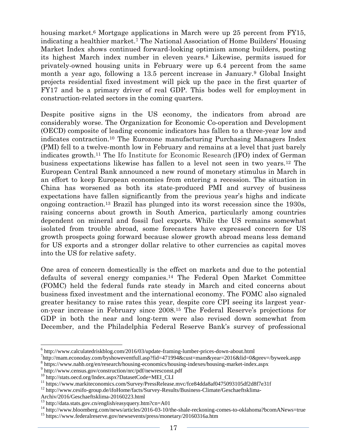housing market.<sup>6</sup> Mortgage applications in March were up 25 percent from FY15, indicating a healthier market.<sup>7</sup> The National Association of Home Builders' Housing Market Index shows continued forward-looking optimism among builders, posting its highest March index number in eleven years.<sup>8</sup> Likewise, permits issued for privately-owned housing units in February were up 6.4 percent from the same month a year ago, following a 13.5 percent increase in January.<sup>9</sup> Global Insight projects residential fixed investment will pick up the pace in the first quarter of FY17 and be a primary driver of real GDP. This bodes well for employment in construction-related sectors in the coming quarters.

Despite positive signs in the US economy, the indicators from abroad are considerably worse. The Organization for Economic Co-operation and Development (OECD) composite of leading economic indicators has fallen to a three-year low and indicates contraction.<sup>10</sup> The Eurozone manufacturing Purchasing Managers Index (PMI) fell to a twelve-month low in February and remains at a level that just barely indicates growth.<sup>11</sup> The Ifo Institute for Economic Research (IFO) index of German business expectations likewise has fallen to a level not seen in two years.<sup>12</sup> The European Central Bank announced a new round of monetary stimulus in March in an effort to keep European economies from entering a recession. The situation in China has worsened as both its state-produced PMI and survey of business expectations have fallen significantly from the previous year's highs and indicate ongoing contraction.<sup>13</sup> Brazil has plunged into its worst recession since the 1930s, raising concerns about growth in South America, particularly among countries dependent on mineral and fossil fuel exports. While the US remains somewhat isolated from trouble abroad, some forecasters have expressed concern for US growth prospects going forward because slower growth abroad means less demand for US exports and a stronger dollar relative to other currencies as capital moves into the US for relative safety.

One area of concern domestically is the effect on markets and due to the potential defaults of several energy companies.<sup>14</sup> The Federal Open Market Committee (FOMC) held the federal funds rate steady in March and cited concerns about business fixed investment and the international economy. The FOMC also signaled greater hesitancy to raise rates this year, despite core CPI seeing its largest yearon-year increase in February since 2008.<sup>15</sup> The Federal Reserve's projections for GDP in both the near and long-term were also revised down somewhat from December, and the Philadelphia Federal Reserve Bank's survey of professional

Archiv/2016/Geschaeftsklima-20160223.html

 $\overline{\phantom{a}}$ 

<sup>&</sup>lt;sup>6</sup> http://www.calculatedriskblog.com/2016/03/update-framing-lumber-prices-down-about.html

<sup>7</sup> http://mam.econoday.com/byshoweventfull.asp?fid=471994&cust=mam&year=2016&lid=0&prev=/byweek.aspp 8 https://www.nahb.org/en/research/housing-economics/housing-indexes/housing-market-index.aspx

<sup>9</sup> http://www.census.gov/construction/nrc/pdf/newresconst.pdf

<sup>10</sup> http://stats.oecd.org/Index.aspx?DatasetCode=MEI\_CLI

<sup>11</sup> https://www.markiteconomics.com/Survey/PressRelease.mvc/fce84dda8af0475093105df2d8f7e31f

<sup>&</sup>lt;sup>12</sup> http://www.cesifo-group.de/ifoHome/facts/Survey-Results/Business-Climate/Geschaeftsklima-

<sup>13</sup> http://data.stats.gov.cn/english/easyquery.htm?cn=A01

<sup>&</sup>lt;sup>14</sup> http://www.bloomberg.com/news/articles/2016-03-10/the-shale-reckoning-comes-to-oklahoma?bcomANews=true <sup>15</sup> https://www.federalreserve.gov/newsevents/press/monetary/20160316a.htm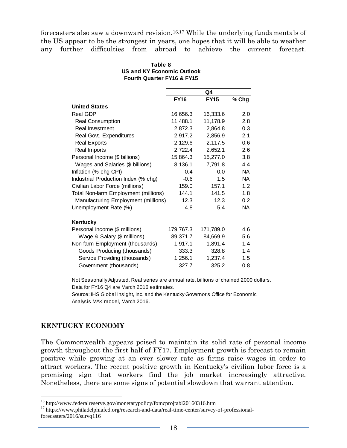forecasters also saw a downward revision.16,17 While the underlying fundamentals of the US appear to be the strongest in years, one hopes that it will be able to weather any further difficulties from abroad to achieve the current forecast.

| Table 8                               |  |
|---------------------------------------|--|
| US and KY Economic Outlook            |  |
| <b>Fourth Quarter FY16 &amp; FY15</b> |  |

|                                      |             | Q4          |           |
|--------------------------------------|-------------|-------------|-----------|
|                                      | <b>FY16</b> | <b>FY15</b> | % Chg     |
| <b>United States</b>                 |             |             |           |
| <b>Real GDP</b>                      | 16,656.3    | 16,333.6    | 2.0       |
| <b>Real Consumption</b>              | 11,488.1    | 11,178.9    | 2.8       |
| Real Investment                      | 2,872.3     | 2,864.8     | 0.3       |
| Real Govt. Expenditures              | 2,917.2     | 2,856.9     | 2.1       |
| <b>Real Exports</b>                  | 2,129.6     | 2,117.5     | 0.6       |
| Real Imports                         | 2,722.4     | 2,652.1     | 2.6       |
| Personal Income (\$ billions)        | 15,864.3    | 15,277.0    | 3.8       |
| Wages and Salaries (\$ billions)     | 8,136.1     | 7,791.8     | 4.4       |
| Inflation (% chg CPI)                | 0.4         | 0.0         | <b>NA</b> |
| Industrial Production Index (% chg)  | $-0.6$      | 1.5         | <b>NA</b> |
| Civilian Labor Force (millions)      | 159.0       | 157.1       | 1.2       |
| Total Non-farm Employment (millions) | 144.1       | 141.5       | 1.8       |
| Manufacturing Employment (millions)  | 12.3        | 12.3        | 0.2       |
| Unemployment Rate (%)                | 4.8         | 5.4         | NA.       |
| Kentucky                             |             |             |           |
| Personal Income (\$ millions)        | 179,767.3   | 171,789.0   | 4.6       |
| Wage & Salary (\$ millions)          | 89,371.7    | 84,669.9    | 5.6       |
| Non-farm Employment (thousands)      | 1,917.1     | 1,891.4     | 1.4       |
| Goods Producing (thousands)          | 333.3       | 328.8       | 1.4       |
| Service Providing (thousands)        | 1,256.1     | 1,237.4     | 1.5       |
| Government (thousands)               | 327.7       | 325.2       | 0.8       |

Not Seasonally Adjusted. Real series are annual rate, billions of chained 2000 dollars. Data for FY16 Q4 are March 2016 estimates.

Source: IHS Global Insight, Inc. and the Kentucky Governor's Office for Economic Analysis MAK model, March 2016.

### **KENTUCKY ECONOMY**

 $\overline{a}$ 

The Commonwealth appears poised to maintain its solid rate of personal income growth throughout the first half of FY17. Employment growth is forecast to remain positive while growing at an ever slower rate as firms raise wages in order to attract workers. The recent positive growth in Kentucky's civilian labor force is a promising sign that workers find the job market increasingly attractive. Nonetheless, there are some signs of potential slowdown that warrant attention.

<sup>&</sup>lt;sup>16</sup> http://www.federalreserve.gov/monetarypolicy/fomcprojtabl20160316.htm

<sup>&</sup>lt;sup>17</sup> https://www.philadelphiafed.org/research-and-data/real-time-center/survey-of-professionalforecasters/2016/survq116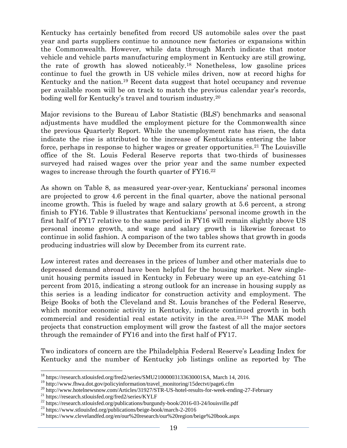Kentucky has certainly benefited from record US automobile sales over the past year and parts suppliers continue to announce new factories or expansions within the Commonwealth. However, while data through March indicate that motor vehicle and vehicle parts manufacturing employment in Kentucky are still growing, the rate of growth has slowed noticeably.<sup>18</sup> Nonetheless, low gasoline prices continue to fuel the growth in US vehicle miles driven, now at record highs for Kentucky and the nation.<sup>19</sup> Recent data suggest that hotel occupancy and revenue per available room will be on track to match the previous calendar year's records, boding well for Kentucky's travel and tourism industry.<sup>20</sup>

Major revisions to the Bureau of Labor Statistic (BLS') benchmarks and seasonal adjustments have muddled the employment picture for the Commonwealth since the previous Quarterly Report. While the unemployment rate has risen, the data indicate the rise is attributed to the increase of Kentuckians entering the labor force, perhaps in response to higher wages or greater opportunities.<sup>21</sup> The Louisville office of the St. Louis Federal Reserve reports that two-thirds of businesses surveyed had raised wages over the prior year and the same number expected wages to increase through the fourth quarter of FY16.<sup>22</sup>

As shown on Table 8, as measured year-over-year, Kentuckians' personal incomes are projected to grow 4.6 percent in the final quarter, above the national personal income growth. This is fueled by wage and salary growth at 5.6 percent, a strong finish to FY16. Table 9 illustrates that Kentuckians' personal income growth in the first half of FY17 relative to the same period in FY16 will remain slightly above US personal income growth, and wage and salary growth is likewise forecast to continue in solid fashion. A comparison of the two tables shows that growth in goods producing industries will slow by December from its current rate.

Low interest rates and decreases in the prices of lumber and other materials due to depressed demand abroad have been helpful for the housing market. New singleunit housing permits issued in Kentucky in February were up an eye-catching 51 percent from 2015, indicating a strong outlook for an increase in housing supply as this series is a leading indicator for construction activity and employment. The Beige Books of both the Cleveland and St. Louis branches of the Federal Reserve, which monitor economic activity in Kentucky, indicate continued growth in both commercial and residential real estate activity in the area.23,24 The MAK model projects that construction employment will grow the fastest of all the major sectors through the remainder of FY16 and into the first half of FY17.

Two indicators of concern are the Philadelphia Federal Reserve's Leading Index for Kentucky and the number of Kentucky job listings online as reported by The

 $\overline{a}$ 

<sup>&</sup>lt;sup>18</sup> https://research.stlouisfed.org/fred2/series/SMU21000003133630001SA, March 14, 2016.

<sup>&</sup>lt;sup>19</sup> http://www.fhwa.dot.gov/policyinformation/travel\_monitoring/15dectvt/page6.cfm

<sup>&</sup>lt;sup>20</sup> http://www.hotelnewsnow.com/Articles/31927/STR-US-hotel-results-for-week-ending-27-February

<sup>21</sup> https://research.stlouisfed.org/fred2/series/KYLF

<sup>&</sup>lt;sup>22</sup> https://research.stlouisfed.org/publications/burgundy-book/2016-03-24/louisville.pdf

<sup>23</sup> https://www.stlouisfed.org/publications/beige-book/march-2-2016

<sup>24</sup> https://www.clevelandfed.org/en/our%20research/our%20region/beige%20book.aspx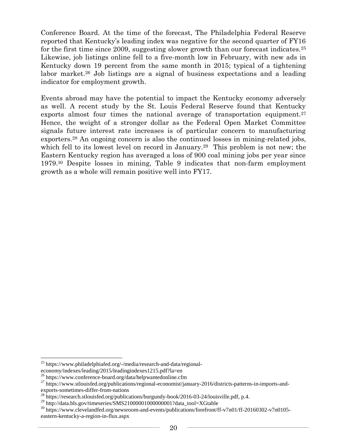Conference Board. At the time of the forecast, The Philadelphia Federal Reserve reported that Kentucky's leading index was negative for the second quarter of FY16 for the first time since 2009, suggesting slower growth than our forecast indicates.<sup>25</sup> Likewise, job listings online fell to a five-month low in February, with new ads in Kentucky down 19 percent from the same month in 2015; typical of a tightening labor market.<sup>26</sup> Job listings are a signal of business expectations and a leading indicator for employment growth.

Events abroad may have the potential to impact the Kentucky economy adversely as well. A recent study by the St. Louis Federal Reserve found that Kentucky exports almost four times the national average of transportation equipment.<sup>27</sup> Hence, the weight of a stronger dollar as the Federal Open Market Committee signals future interest rate increases is of particular concern to manufacturing exporters.<sup>28</sup> An ongoing concern is also the continued losses in mining-related jobs, which fell to its lowest level on record in January.<sup>29</sup> This problem is not new; the Eastern Kentucky region has averaged a loss of 900 coal mining jobs per year since 1979.<sup>30</sup> Despite losses in mining, Table 9 indicates that non-farm employment growth as a whole will remain positive well into FY17.

 $\overline{a}$ <sup>25</sup> https://www.philadelphiafed.org/-/media/research-and-data/regionaleconomy/indexes/leading/2015/leadingindexes1215.pdf?la=en

<sup>&</sup>lt;sup>26</sup> https://www.conference-board.org/data/helpwantedonline.cfm

<sup>&</sup>lt;sup>27</sup> https://www.stlouisfed.org/publications/regional-economist/january-2016/districts-patterns-in-imports-andexports-sometimes-differ-from-nations

<sup>&</sup>lt;sup>28</sup> https://research.stlouisfed.org/publications/burgundy-book/2016-03-24/louisville.pdf, p.4.

 $^{29}$  http://data.bls.gov/timeseries/SMS210000010000000001?data\_tool=XGtable

<sup>30</sup> https://www.clevelandfed.org/newsroom-and-events/publications/forefront/ff-v7n01/ff-20160302-v7n0105 eastern-kentucky-a-region-in-flux.aspx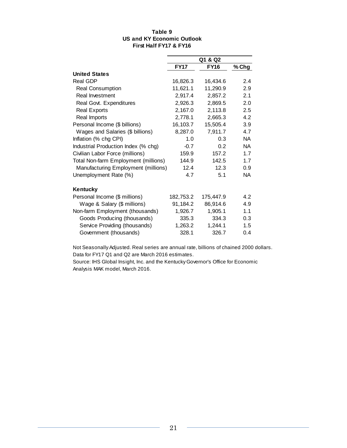#### **Table 9 US and KY Economic Outlook First Half FY17 & FY16**

|                                      | Q1 & Q2     |             |           |  |  |
|--------------------------------------|-------------|-------------|-----------|--|--|
|                                      | <b>FY17</b> | <b>FY16</b> | % Chg     |  |  |
| <b>United States</b>                 |             |             |           |  |  |
| Real GDP                             | 16,826.3    | 16,434.6    | 2.4       |  |  |
| <b>Real Consumption</b>              | 11,621.1    | 11,290.9    | 2.9       |  |  |
| Real Investment                      | 2,917.4     | 2,857.2     | 2.1       |  |  |
| Real Govt. Expenditures              | 2,926.3     | 2,869.5     | 2.0       |  |  |
| <b>Real Exports</b>                  | 2,167.0     | 2,113.8     | 2.5       |  |  |
| Real Imports                         | 2,778.1     | 2,665.3     | 4.2       |  |  |
| Personal Income (\$ billions)        | 16,103.7    | 15,505.4    | 3.9       |  |  |
| Wages and Salaries (\$ billions)     | 8,287.0     | 7,911.7     | 4.7       |  |  |
| Inflation (% chg CPI)                | 1.0         | 0.3         | <b>NA</b> |  |  |
| Industrial Production Index (% chg)  | $-0.7$      | 0.2         | <b>NA</b> |  |  |
| Civilian Labor Force (millions)      | 159.9       | 157.2       | 1.7       |  |  |
| Total Non-farm Employment (millions) | 144.9       | 142.5       | 1.7       |  |  |
| Manufacturing Employment (millions)  | 12.4        | 12.3        | 0.9       |  |  |
| Unemployment Rate (%)                | 4.7         | 5.1         | NA        |  |  |
| Kentucky                             |             |             |           |  |  |
| Personal Income (\$ millions)        | 182,753.2   | 175,447.9   | 4.2       |  |  |
| Wage & Salary (\$ millions)          | 91,184.2    | 86,914.6    | 4.9       |  |  |
| Non-farm Employment (thousands)      | 1,926.7     | 1,905.1     | 1.1       |  |  |
| Goods Producing (thousands)          | 335.3       | 334.3       | 0.3       |  |  |
| Service Providing (thousands)        | 1,263.2     | 1,244.1     | 1.5       |  |  |
| Government (thousands)               | 328.1       | 326.7       | 0.4       |  |  |

Not Seasonally Adjusted. Real series are annual rate, billions of chained 2000 dollars. Data for FY17 Q1 and Q2 are March 2016 estimates.

Source: IHS Global Insight, Inc. and the Kentucky Governor's Office for Economic Analysis MAK model, March 2016.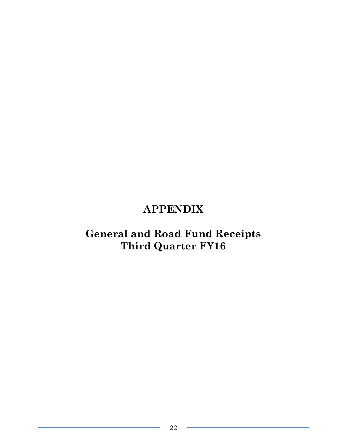### **APPENDIX**

### **General and Road Fund Receipts Third Quarter FY16**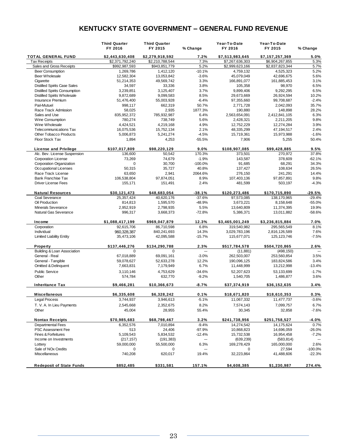### **KENTUCKY STATE GOVERNMENT – GENERAL FUND REVENUE**

|                                      | <b>Third Quarter</b><br>FY 2016 | <b>Third Quarter</b><br>FY 2015 | % Change  | Year-To-Date<br>FY 2016 | Year-To-Date<br>FY 2015 | % Change  |
|--------------------------------------|---------------------------------|---------------------------------|-----------|-------------------------|-------------------------|-----------|
| TOTAL GENERAL FUND                   | \$2,443,630,408                 | \$2,279,918,592                 | 7.2%      | \$7,513,983,645         | \$7,157,257,369         | 5.0%      |
| <b>Tax Receipts</b>                  | \$2,371,792,240                 | \$2,210,788,544                 | 7.3%      | \$7,267,636,303         | \$6,904,267,855         | 5.3%      |
| Sales and Gross Receipts             | \$992,987,593                   | \$943,851,779                   | 5.2%      | \$2,999,623,166         | \$2,837,823,344         | 5.7%      |
| <b>Beer Consumption</b>              | 1,269,786                       | 1,412,120                       | $-10.1%$  | 4,759,132               | 4,525,323               | 5.2%      |
| <b>Beer Wholesale</b>                | 12,582,304                      | 13,053,842                      | $-3.6%$   | 45,079,049              | 42,696,675              | 5.6%      |
| Cigarette                            | 51,214,353                      | 49,569,742                      | 3.3%      | 166,891,077             | 161,885,453             | 3.1%      |
| <b>Distilled Spirits Case Sales</b>  | 34,597                          | 33,336                          | 3.8%      | 105,358                 | 98,970                  | 6.5%      |
| <b>Distilled Spirits Consumption</b> | 3,239,851                       | 3,125,407                       | 3.7%      | 9,899,406               | 9,292,295               | 6.5%      |
| <b>Distilled Spirits Wholesale</b>   | 9,872,689                       | 9,099,583                       | 8.5%      | 29,673,669              | 26,924,594              | 10.2%     |
| Insurance Premium                    | 51,476,400                      | 55,003,928                      | $-6.4%$   | 97,355,660              | 99,708,687              | $-2.4%$   |
| Pari-Mutuel                          | 998,117                         | 662,319                         | 50.7%     | 2,771,728               | 2,042,093               | 35.7%     |
| Race Track Admission                 | 58,025                          | 2,935                           | 1877.3%   | 190,880                 | 148,898                 | 28.2%     |
| Sales and Use                        | 835,952,372                     | 785,932,987                     | 6.4%      | 2,563,654,091           | 2,412,841,105           | 6.3%      |
| Wine Consumption                     | 780,274                         | 738,749                         | 5.6%      | 2,428,321               | 2,211,205               | 9.8%      |
| Wine Wholesale                       | 4,424,521                       | 4,219,168                       | 4.9%      | 12,752,229              | 12,274,284              | 3.9%      |
| <b>Telecommunications Tax</b>        | 16,075,536                      | 15,752,134                      | 2.1%      | 48,335,299              | 47,194,517              | 2.4%      |
| <b>Other Tobacco Products</b>        | 5,006,873                       | 5,241,274                       | $-4.5%$   | 15,719,361              | 15,973,988              | $-1.6%$   |
| Floor Stock Tax                      | 1,894                           | 4,253                           | $-55.5%$  | 7,906                   | 5,255                   | 50.4%     |
|                                      |                                 |                                 |           |                         |                         |           |
| <b>License and Privilege</b>         | \$107,017,809                   | \$98,220,129                    | 9.0%      | \$108,907,085           | \$99,428,885            | 9.5%      |
| Alc. Bev. License Suspension         | 136,600                         | 50,542                          | 170.3%    | 373,501                 | 270,972                 | 37.8%     |
| <b>Corporation License</b>           | 73,269                          | 74,679                          | $-1.9%$   | 143,587                 | 378,609                 | $-62.1%$  |
| Corporation Organization             | $\mathbf 0$                     | 30,700                          | $-100.0%$ | 91,685                  | 68,291                  | 34.3%     |
| Occupational Licenses                | 50,315                          | 35,727                          | 40.8%     | 137,427                 | 108,634                 | 26.5%     |
| Race Track License                   | 63,650                          | 2,941                           | 2064.6%   | 276,150                 | 241,291                 | 14.4%     |
| <b>Bank Franchise Tax</b>            | 106,538,804                     | 97,874,051                      | 8.9%      | 107,403,136             | 97,857,891              | 9.8%      |
| <b>Driver License Fees</b>           | 155,171                         | 151,491                         | 2.4%      | 481,599                 | 503,197                 | $-4.3%$   |
| <b>Natural Resources</b>             | \$30,121,473                    | \$48,683,054                    | $-38.1%$  | \$120,273,486           | \$170,715,890           | $-29.5%$  |
| Coal Severance                       | 25,357,424                      | 40,620,176                      | $-37.6%$  | 97,573,085              | 138,170,965             | $-29.4%$  |
| Oil Production                       | 814,813                         | 1,595,570                       | -48.9%    | 3,673,221               | 8,158,648               | $-55.0%$  |
| <b>Minerals Severance</b>            | 2,952,919                       | 2,798,935                       | 5.5%      | 13,640,809              | 11,374,395              | 19.9%     |
| Natural Gas Severance                | 996,317                         | 3,668,373                       | $-72.8%$  | 5,386,371               | 13,011,882              | $-58.6%$  |
| Income                               | \$1,088,417,199                 | \$969,047,879                   | 12.3%     | \$3,465,001,249         | \$3,236,815,884         | 7.0%      |
| Corporation                          | 92,615,706                      | 86,710,598                      | 6.8%      | 319,540,982             | 295,565,549             | 8.1%      |
| Individual                           | 960,328,387                     | 840,241,693                     | 14.3%     | 3,029,783,196           | 2,816,126,589           | 7.6%      |
| <b>Limited Liability Entity</b>      | 35,473,106                      | 42,095,588                      | $-15.7%$  | 115,677,071             | 125, 123, 746           | $-7.5%$   |
| Property                             | \$137,446,276                   | \$134,290,788                   | 2.3%      | \$517,784,578           | \$504,720,865           | 2.6%      |
| Building & Loan Association          | $\Omega$                        | $\Omega$                        | ---       | (11, 881)               | (498,150)               |           |
| General - Real                       | 67,018,889                      | 69,091,161                      | $-3.0%$   | 262,503,007             | 253,560,854             | 3.5%      |
| General - Tangible                   | 59,078,627                      | 52,633,278                      | 12.2%     | 190,096,125             | 183,824,586             | 3.4%      |
| Omitted & Delinquent                 | 7,663,831                       | 7,179,949                       | 6.7%      | 11,448,999              | 13,212,998              | $-13.4%$  |
| Public Service                       | 3,110,146                       | 4,753,629                       | $-34.6%$  | 52,207,623              | 53,133,699              | $-1.7%$   |
| Other                                | 574,784                         | 632,770                         | $-9.2%$   | 1,540,705               | 1,486,877               | 3.6%      |
| <b>Inheritance Tax</b>               | \$9,466,281                     | \$10,366,673                    | $-8.7%$   | \$37,374,919            | \$36,152,635            | 3.4%      |
| <b>Miscellaneous</b>                 | \$6,335,608                     | \$6,328,242                     | 0.1%      | \$18,671,820            | \$18,610,353            | 0.3%      |
| <b>Legal Process</b>                 | 3,744,937                       | 3,946,613                       | $-5.1%$   | 11,067,332              | 11,477,737              | $-3.6%$   |
| T. V. A. In Lieu Payments            | 2,545,668                       | 2,352,675                       | 8.2%      | 7,574,143               | 7,099,757               | 6.7%      |
| Other                                | 45,004                          | 28,955                          | 55.4%     | 30,345                  | 32,858                  | $-7.6%$   |
| <b>Nontax Receipts</b>               | \$70,985,683                    | \$68,798,467                    | 3.2%      | \$241,738,956           | \$251,758,527           | -4.0%     |
| <b>Departmental Fees</b>             | 6,352,576                       | 7,010,894                       | $-9.4%$   | 14,274,542              | 14,175,624              | 0.7%      |
| PSC Assessment Fee                   | 513                             | 24,406                          | $-97.9%$  | 10,868,823              | 14,696,059              | $-26.0%$  |
| Fines & Forfeitures                  | 5,109,543                       | 5,834,532                       | $-12.4%$  | 15,732,538              | 16,954,458              | -7.2%     |
| Income on Investments                | (217, 157)                      | (191, 383)                      | --        | (639, 239)              | (583, 814)              |           |
| Lottery                              | 59,000,000                      | 55,500,000                      | 6.3%      | 169,278,429             | 165,000,000             | 2.6%      |
| Sale of NO <sub>x</sub> Credits      | 0                               | 0                               |           | 0                       | 27,594                  | $-100.0%$ |
| Miscellaneous                        | 740,208                         | 620,017                         | 19.4%     | 32,223,864              | 41,488,606              | $-22.3%$  |
|                                      |                                 |                                 | 157.1%    |                         |                         |           |
| <b>Redeposit of State Funds</b>      | \$852,485                       | \$331,581                       |           | \$4,608,385             | \$1,230,987             | 274.4%    |